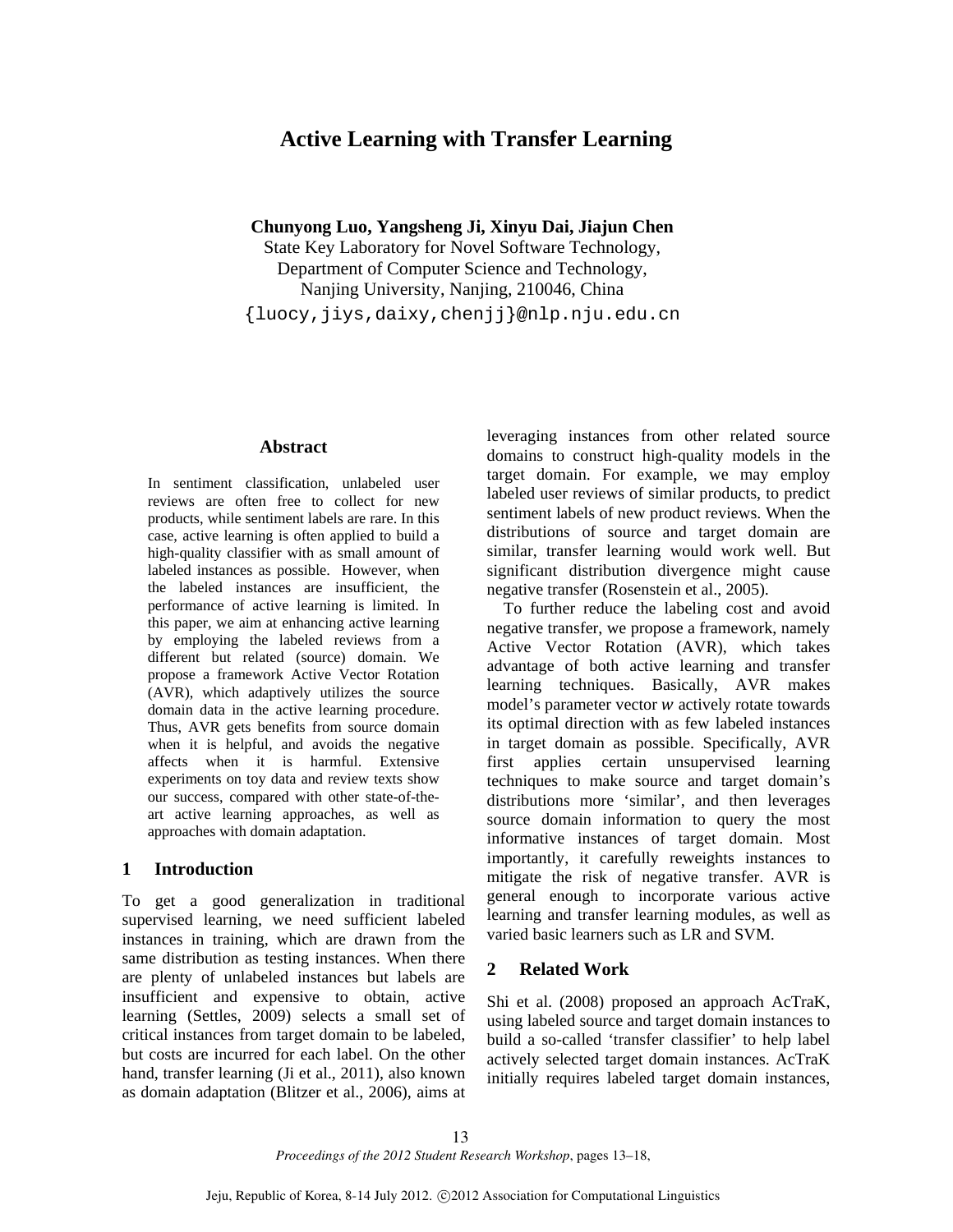# **Active Learning with Transfer Learning**

**Chunyong Luo, Yangsheng Ji, Xinyu Dai, Jiajun Chen**

State Key Laboratory for Novel Software Technology, Department of Computer Science and Technology, Nanjing University, Nanjing, 210046, China {luocy,jiys,daixy,chenjj}@nlp.nju.edu.cn

# **Abstract**

In sentiment classification, unlabeled user reviews are often free to collect for new products, while sentiment labels are rare. In this case, active learning is often applied to build a high-quality classifier with as small amount of labeled instances as possible. However, when the labeled instances are insufficient, the performance of active learning is limited. In this paper, we aim at enhancing active learning by employing the labeled reviews from a different but related (source) domain. We propose a framework Active Vector Rotation (AVR), which adaptively utilizes the source domain data in the active learning procedure. Thus, AVR gets benefits from source domain when it is helpful, and avoids the negative affects when it is harmful. Extensive experiments on toy data and review texts show our success, compared with other state-of-theart active learning approaches, as well as approaches with domain adaptation.

## **1 Introduction**

To get a good generalization in traditional supervised learning, we need sufficient labeled instances in training, which are drawn from the same distribution as testing instances. When there are plenty of unlabeled instances but labels are insufficient and expensive to obtain, active learning (Settles, 2009) selects a small set of critical instances from target domain to be labeled, but costs are incurred for each label. On the other hand, transfer learning (Ji et al., 2011), also known as domain adaptation (Blitzer et al., 2006), aims at leveraging instances from other related source domains to construct high-quality models in the target domain. For example, we may employ labeled user reviews of similar products, to predict sentiment labels of new product reviews. When the distributions of source and target domain are similar, transfer learning would work well. But significant distribution divergence might cause negative transfer (Rosenstein et al., 2005).

To further reduce the labeling cost and avoid negative transfer, we propose a framework, namely Active Vector Rotation (AVR), which takes advantage of both active learning and transfer learning techniques. Basically, AVR makes model's parameter vector  $w$  actively rotate towards its optimal direction with as few labeled instances in target domain as possible. Specifically, AVR first applies certain unsupervised learning techniques to make source and target domain's distributions more 'similar', and then leverages source domain information to query the most informative instances of target domain. Most importantly, it carefully reweights instances to mitigate the risk of negative transfer. AVR is general enough to incorporate various active learning and transfer learning modules, as well as varied basic learners such as LR and SVM.

# **2 Related Work**

Shi et al. (2008) proposed an approach AcTraK, using labeled source and target domain instances to build a so-called 'transfer classifier' to help label actively selected target domain instances. AcTraK initially requires labeled target domain instances,

*Proceedings of the 2012 Student Research Workshop*, pages 13–18,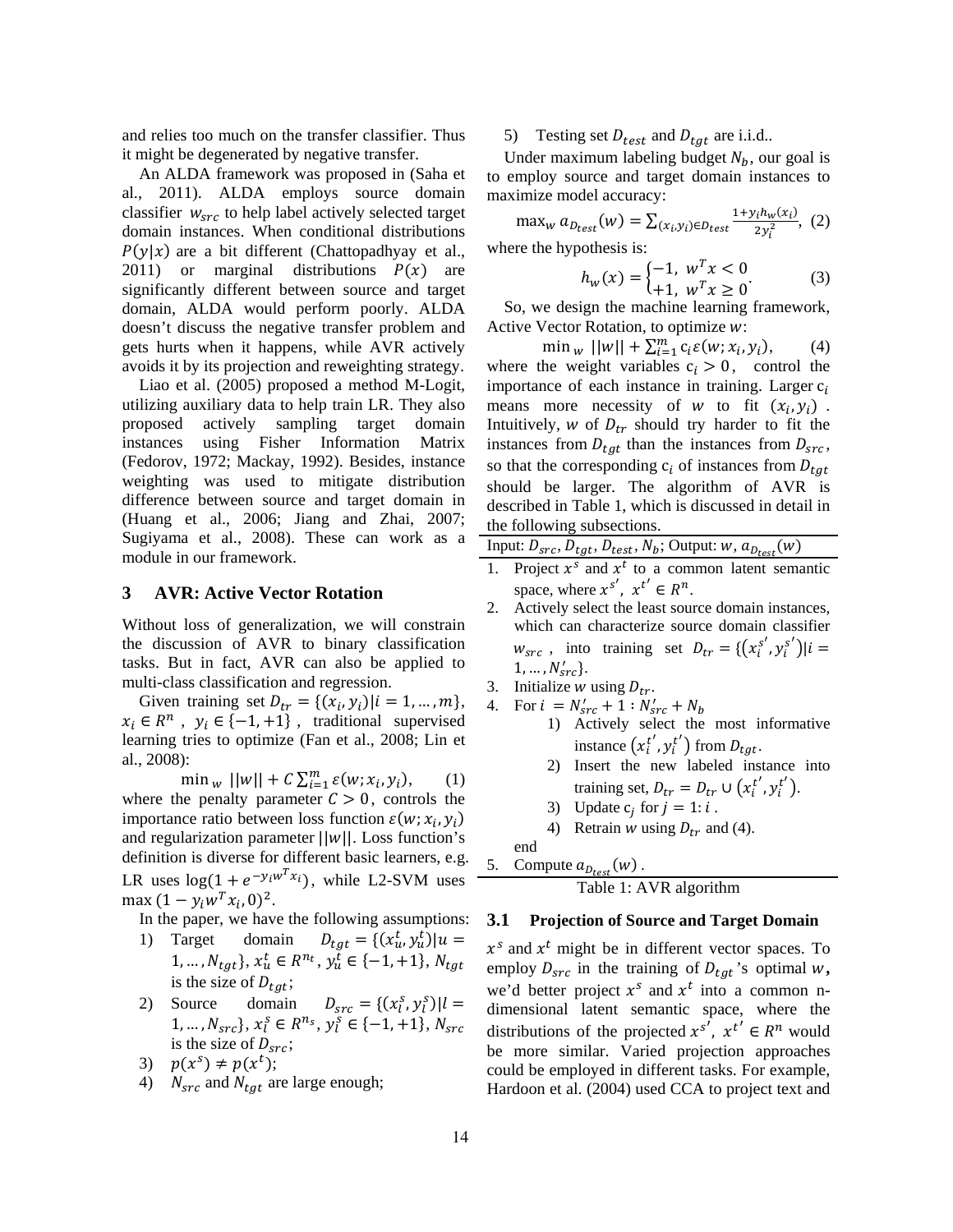and relies too much on the transfer classifier. Thus it might be degenerated by negative transfer.

An ALDA framework was proposed in (Saha et al., 2011). ALDA employs source domain classifier  $w_{src}$  to help label actively selected target domain instances. When conditional distributions  $P(y|x)$  are a bit different (Chattopadhyay et al., 2011) or marginal distributions  $P(x)$  are significantly different between source and target domain, ALDA would perform poorly. ALDA doesn't discuss the negative transfer problem and gets hurts when it happens, while AVR actively avoids it by its projection and reweighting strategy.

Liao et al. (2005) proposed a method M-Logit, utilizing auxiliary data to help train LR. They also proposed actively sampling target domain instances using Fisher Information Matrix (Fedorov, 1972; Mackay, 1992). Besides, instance weighting was used to mitigate distribution difference between source and target domain in (Huang et al., 2006; Jiang and Zhai, 2007; Sugiyama et al., 2008). These can work as a module in our framework.

# **3 AVR: Active Vector Rotation**

Without loss of generalization, we will constrain the discussion of AVR to binary classification tasks. But in fact, AVR can also be applied to multi-class classification and regression.

Given training set  $D_{tr} = \{ (x_i, y_i) | i = 1, ..., m \},\$  $x_i \in R^n$ ,  $y_i \in \{-1, +1\}$ , traditional supervised learning tries to optimize (Fan et al., 2008; Lin et al., 2008):

 $\min_{w} ||w|| + C \sum_{i=1}^{m} \varepsilon(w; x_i, y_i),$  (1) where the penalty parameter  $C > 0$ , controls the importance ratio between loss function  $\varepsilon(w; x_i, y_i)$ and regularization parameter  $||w||$ . Loss function's definition is diverse for different basic learners, e.g. LR uses  $log(1 + e^{-y_i w^T x_i})$ , while L2-SVM uses max  $(1 - y_i w^T x_i, 0)^2$ .

- In the paper, we have the following assumptions:
- 1) Target domain  $D_{tgt} = \{ (x_u^t, y_u^t) | u =$  $1, ..., N_{tgt}$ ,  $x_u^t \in R^{n_t}$ ,  $y_u^t \in \{-1, +1\}$ ,  $N_{tgt}$ is the size of  $D_{tgt}$ ;
- 2) Source domain  $D_{src} = \{ (x_l^s, y_l^s) | l =$  $1, ..., N_{src}$ ,  $x_l^s \in R^{n_s}$ ,  $y_l^s \in \{-1, +1\}$ ,  $N_{src}$ is the size of  $D_{src}$ ;
- 3)  $p(x^s) \neq p(x^t);$
- 4)  $N_{src}$  and  $N_{tgt}$  are large enough;

5) Testing set  $D_{test}$  and  $D_{tot}$  are i.i.d..

Under maximum labeling budget  $N_h$ , our goal is to employ source and target domain instances to maximize model accuracy:

$$
\max_{w} a_{D_{test}}(w) = \sum_{(x_i, y_i) \in D_{test}} \frac{1 + y_i h_w(x_i)}{2 y_i^2}, (2)
$$

where the hypothesis is:

$$
h_w(x) = \begin{cases} -1, & w^T x < 0\\ +1, & w^T x \ge 0 \end{cases}
$$
 (3)

So, we design the machine learning framework, Active Vector Rotation, to optimize w:

 $\min_{w} ||w|| + \sum_{i=1}^{m} c_i \varepsilon(w; x_i, y_i),$  (4) where the weight variables  $c_i > 0$ , control the importance of each instance in training. Larger  $c_i$ means more necessity of w to fit  $(x_i, y_i)$ . Intuitively, w of  $D_{tr}$  should try harder to fit the instances from  $D_{tqt}$  than the instances from  $D_{src}$ , so that the corresponding  $c_i$  of instances from  $D_{tgt}$ should be larger. The algorithm of AVR is described in Table 1, which is discussed in detail in the following subsections.

|  |  |  |  |  | Input: $D_{src}$ , $D_{tgt}$ , $D_{test}$ , $N_b$ ; Output: $w$ , $a_{D_{test}}(w)$ |  |
|--|--|--|--|--|-------------------------------------------------------------------------------------|--|
|--|--|--|--|--|-------------------------------------------------------------------------------------|--|

- 1. Project  $x^s$  and  $x^t$  to a common latent semantic space, where  $x^{s'}$ ,  $x^{t'} \in R^n$ .
- 2. Actively select the least source domain instances, which can characterize source domain classifier  $w_{src}$ , into training set  $D_{tr} = \{ (x_i^{s'}, y_i^{s'}) | i =$  $1, ..., N'_{src}$ .
- 3. Initialize w using  $D_{tr}$ .
- 4. For  $i = N'_{src} + 1 : N'_{src} + N_b$ 
	- 1) Actively select the most informative instance  $(x_i^{t'}, y_i^{t'})$  from  $D_{tgt}$ .
	- 2) Insert the new labeled instance into training set,  $D_{tr} = D_{tr} \cup (x_i^{t'}, y_i^{t'}).$

3) Update 
$$
c_j
$$
 for  $j = 1$ :  $i$ .

4) Retrain w using  $D_{tr}$  and (4).

end  
5. Compute 
$$
a_{D_{\text{test}}}(w)
$$
.

Table 1: AVR algorithm

#### **3.1 Projection of Source and Target Domain**

 $x^s$  and  $x^t$  might be in different vector spaces. To employ  $D_{src}$  in the training of  $D_{tgt}$ 's optimal  $w$ , we'd better project  $x^s$  and  $x^t$  into a common ndimensional latent semantic space, where the distributions of the projected  $x^{s'}$ ,  $x^{t'} \in R^n$  would be more similar. Varied projection approaches could be employed in different tasks. For example, Hardoon et al. (2004) used CCA to project text and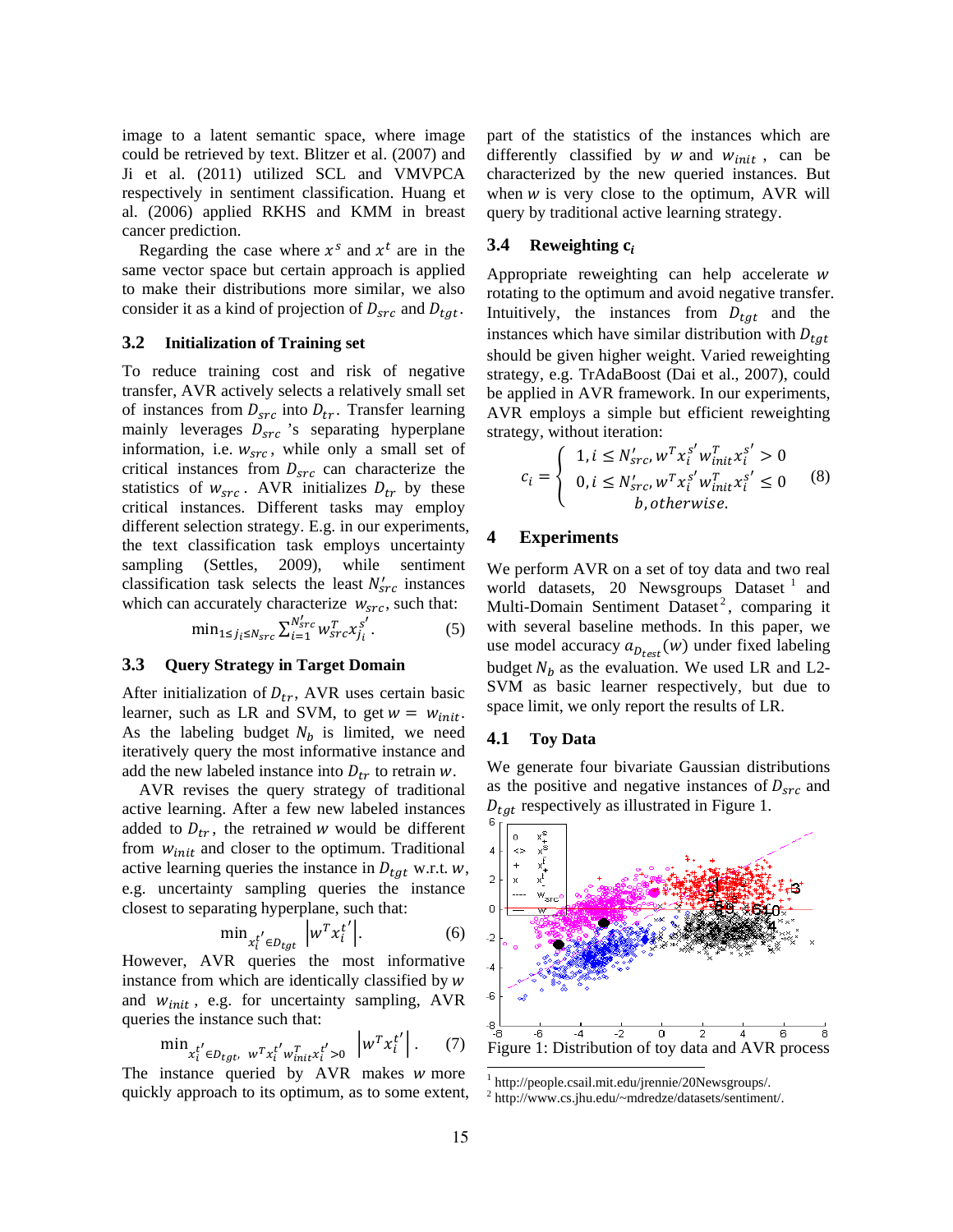image to a latent semantic space, where image could be retrieved by text. Blitzer et al. (2007) and Ji et al. (2011) utilized SCL and VMVPCA respectively in sentiment classification. Huang et al. (2006) applied RKHS and KMM in breast cancer prediction.

Regarding the case where  $x^s$  and  $x^t$  are in the same vector space but certain approach is applied to make their distributions more similar, we also consider it as a kind of projection of  $D_{src}$  and  $D_{tat}$ .

# **3.2 Initialization of Training set**

To reduce training cost and risk of negative transfer, AVR actively selects a relatively small set of instances from  $D_{src}$  into  $D_{tr}$ . Transfer learning mainly leverages  $D_{src}$  's separating hyperplane information, i.e.  $w_{src}$ , while only a small set of critical instances from  $D_{src}$  can characterize the statistics of  $w_{src}$ . AVR initializes  $D_{tr}$  by these critical instances. Different tasks may employ different selection strategy. E.g. in our experiments, the text classification task employs uncertainty sampling (Settles, 2009), while sentiment classification task selects the least  $N'_{src}$  instances which can accurately characterize  $w_{src}$ , such that:

$$
\min_{1 \le j_i \le N_{src}} \sum_{i=1}^{N'_{src}} w_{src}^T x_{j_i}^{S'}.
$$
 (5)

### **3.3 Query Strategy in Target Domain**

After initialization of  $D_{tr}$ , AVR uses certain basic learner, such as LR and SVM, to get  $w = w_{init}$ . As the labeling budget  $N_b$  is limited, we need iteratively query the most informative instance and add the new labeled instance into  $D_{tr}$  to retrain w.

AVR revises the query strategy of traditional active learning. After a few new labeled instances added to  $D_{tr}$ , the retrained w would be different from  $w_{init}$  and closer to the optimum. Traditional active learning queries the instance in  $D_{tat}$  w.r.t. w, e.g. uncertainty sampling queries the instance closest to separating hyperplane, such that:

$$
\min_{x_t^{t'} \in D_{tgt}} \left| w^T x_t^{t'} \right|.
$$
 (6)

However, AVR queries the most informative instance from which are identically classified by  $w$ and  $w_{init}$ , e.g. for uncertainty sampling, AVR queries the instance such that:

$$
\min_{x_i^{t'} \in D_{tgt}, \ w^T x_i^{t'} w_{init}^T x_i^{t'} > 0} \left| w^T x_i^{t'} \right|.
$$
 (7)

The instance queried by  $AVR$  makes  $w$  more quickly approach to its optimum, as to some extent, part of the statistics of the instances which are differently classified by  $w$  and  $w_{init}$ , can be characterized by the new queried instances. But when  $w$  is very close to the optimum, AVR will query by traditional active learning strategy.

#### ܋ **Reweighting 3.4**

Appropriate reweighting can help accelerate  $w$ rotating to the optimum and avoid negative transfer. Intuitively, the instances from  $D_{tqt}$  and the instances which have similar distribution with  $D_{tat}$ should be given higher weight. Varied reweighting strategy, e.g. TrAdaBoost (Dai et al., 2007), could be applied in AVR framework. In our experiments, AVR employs a simple but efficient reweighting strategy, without iteration:

$$
c_{i} = \begin{cases} 1, i \le N'_{src}, w^{T} x_{i}^{s'} w^{T}_{init} x_{i}^{s'} > 0\\ 0, i \le N'_{src}, w^{T} x_{i}^{s'} w^{T}_{init} x_{i}^{s'} \le 0\\ b, otherwise. \end{cases}
$$
 (8)

# **4 Experiments**

We perform AVR on a set of toy data and two real world datasets, 20 Newsgroups Dataset  $<sup>1</sup>$  and</sup> Multi-Domain Sentiment Dataset<sup>2</sup>, comparing it with several baseline methods. In this paper, we use model accuracy  $a_{D_{test}}(w)$  under fixed labeling budget  $N_h$  as the evaluation. We used LR and L2-SVM as basic learner respectively, but due to space limit, we only report the results of LR.

### **4.1 Toy Data**

We generate four bivariate Gaussian distributions as the positive and negative instances of  $D_{src}$  and  $D_{tat}$  respectively as illustrated in Figure 1.



<sup>1</sup> http://people.csail.mit.edu/jrennie/20Newsgroups/.

<sup>2</sup> http://www.cs.jhu.edu/~mdredze/datasets/sentiment/.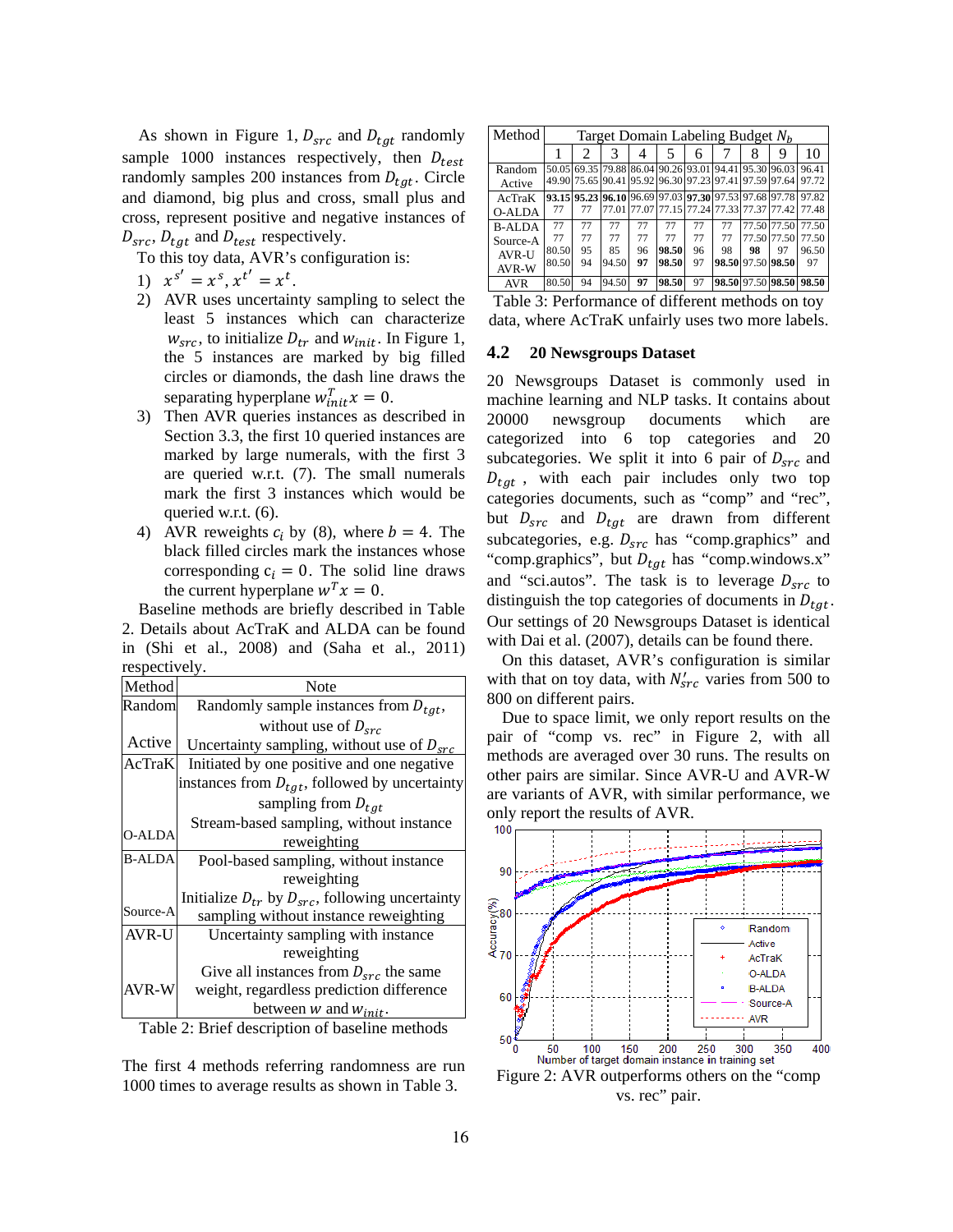As shown in Figure 1,  $D_{src}$  and  $D_{tat}$  randomly sample 1000 instances respectively, then  $D_{test}$ randomly samples 200 instances from  $D_{tgt}$ . Circle and diamond, big plus and cross, small plus and cross, represent positive and negative instances of  $D_{src}$ ,  $D_{tgt}$  and  $D_{test}$  respectively.

To this toy data, AVR's configuration is:

1)  $x^{s'} = x^s, x^{t'} = x^t$ .

- 2) AVR uses uncertainty sampling to select the least 5 instances which can characterize  $w_{src}$ , to initialize  $D_{tr}$  and  $w_{init}$ . In Figure 1, the 5 instances are marked by big filled circles or diamonds, the dash line draws the separating hyperplane  $w_{init}^T x = 0$ .
- 3) Then AVR queries instances as described in Section 3.3, the first 10 queried instances are marked by large numerals, with the first 3 are queried w.r.t. (7). The small numerals mark the first 3 instances which would be queried w.r.t. (6).
- 4) AVR reweights  $c_i$  by (8), where  $b = 4$ . The black filled circles mark the instances whose corresponding  $c_i = 0$ . The solid line draws the current hyperplane  $w^T x = 0$ .

Baseline methods are briefly described in Table 2. Details about AcTraK and ALDA can be found in (Shi et al., 2008) and (Saha et al., 2011) respectively.

| Method                                         | Note                                                     |  |  |  |  |
|------------------------------------------------|----------------------------------------------------------|--|--|--|--|
| Random                                         | Randomly sample instances from $D_{tgt}$ ,               |  |  |  |  |
|                                                | without use of $D_{src}$                                 |  |  |  |  |
| Active                                         | Uncertainty sampling, without use of $D_{src}$           |  |  |  |  |
| AcTraK                                         | Initiated by one positive and one negative               |  |  |  |  |
|                                                | instances from $D_{tqt}$ , followed by uncertainty       |  |  |  |  |
|                                                | sampling from $D_{tgt}$                                  |  |  |  |  |
|                                                | Stream-based sampling, without instance                  |  |  |  |  |
| <b>O-ALDA</b>                                  | reweighting                                              |  |  |  |  |
| <b>B-ALDA</b>                                  | Pool-based sampling, without instance                    |  |  |  |  |
|                                                | reweighting                                              |  |  |  |  |
|                                                | Initialize $D_{tr}$ by $D_{src}$ , following uncertainty |  |  |  |  |
| Source-A                                       | sampling without instance reweighting                    |  |  |  |  |
| AVR-U                                          | Uncertainty sampling with instance                       |  |  |  |  |
|                                                | reweighting                                              |  |  |  |  |
|                                                | Give all instances from $D_{src}$ the same               |  |  |  |  |
| AVR-W                                          | weight, regardless prediction difference                 |  |  |  |  |
|                                                | between $w$ and $w_{init}$ .                             |  |  |  |  |
| Table 2. Rrief description of baseline methods |                                                          |  |  |  |  |

Table 2: Brief description of baseline methods

The first 4 methods referring randomness are run 1000 times to average results as shown in Table 3.

| Method        | Target Domain Labeling Budget $N_h$ |    |       |    |       |    |                                                       |                   |                                                       |                   |
|---------------|-------------------------------------|----|-------|----|-------|----|-------------------------------------------------------|-------------------|-------------------------------------------------------|-------------------|
|               |                                     | 2  | 3     | 4  | 5     | 6  |                                                       | 8                 | 9                                                     | 10                |
| Random        |                                     |    |       |    |       |    |                                                       |                   | 50.05 69.35 79.88 86.04 90.26 93.01 94.41 95.30 96.03 | 96.41             |
| Active        |                                     |    |       |    |       |    | 49.90 75.65 90.41 95.92 96.30 97.23 97.41 97.59 97.64 |                   |                                                       | 97.72             |
| AcTraK        |                                     |    |       |    |       |    | 93.15 95.23 96.10 96.69 97.03 97.30 97.53 97.68 97.78 |                   |                                                       | 97.82             |
| <b>O-ALDA</b> | 77                                  | 77 |       |    |       |    |                                                       |                   | 77.01 77.07 77.15 77.24 77.33 77.37 77.42             | 77.48             |
| <b>B-ALDA</b> | 77                                  | 77 | 77    | 77 | 77    | 77 | 77                                                    |                   |                                                       | 77.50 77.50 77.50 |
| Source-A      | 77                                  | 77 | 77    | 77 | 77    | 77 | 77                                                    |                   | 77.50 77.50                                           | 77.50             |
| <b>AVR-U</b>  | 80.50                               | 95 | 85    | 96 | 98.50 | 96 | 98                                                    | 98                | 97                                                    | 96.50             |
| AVR-W         | 80.50                               | 94 | 94.50 | 97 | 98.50 | 97 | 98.50 97.50 98.50                                     |                   |                                                       | 97                |
| <b>AVR</b>    | 80.50                               | 94 | 94.50 | 97 | 98.50 | 97 |                                                       | 98.50 97.50 98.50 |                                                       | 98.50             |

Table 3: Performance of different methods on toy data, where AcTraK unfairly uses two more labels.

#### **4.2 20 Newsgroups Dataset**

20 Newsgroups Dataset is commonly used in machine learning and NLP tasks. It contains about 20000 newsgroup documents which are categorized into 6 top categories and 20 subcategories. We split it into 6 pair of  $D_{src}$  and  $D_{tat}$ , with each pair includes only two top categories documents, such as "comp" and "rec", but  $D_{src}$  and  $D_{tgt}$  are drawn from different subcategories, e.g.  $D_{src}$  has "comp.graphics" and "comp.graphics", but  $D_{tat}$  has "comp.windows.x" and "sci.autos". The task is to leverage  $D_{src}$  to distinguish the top categories of documents in  $D_{tat}$ . Our settings of 20 Newsgroups Dataset is identical with Dai et al. (2007), details can be found there.

On this dataset, AVR's configuration is similar with that on toy data, with  $N'_{src}$  varies from 500 to 800 on different pairs.

Due to space limit, we only report results on the pair of "comp vs. rec" in Figure 2, with all methods are averaged over 30 runs. The results on other pairs are similar. Since AVR-U and AVR-W are variants of AVR, with similar performance, we only report the results of AVR.



Figure 2: AVR outperforms others on the "comp vs. rec" pair.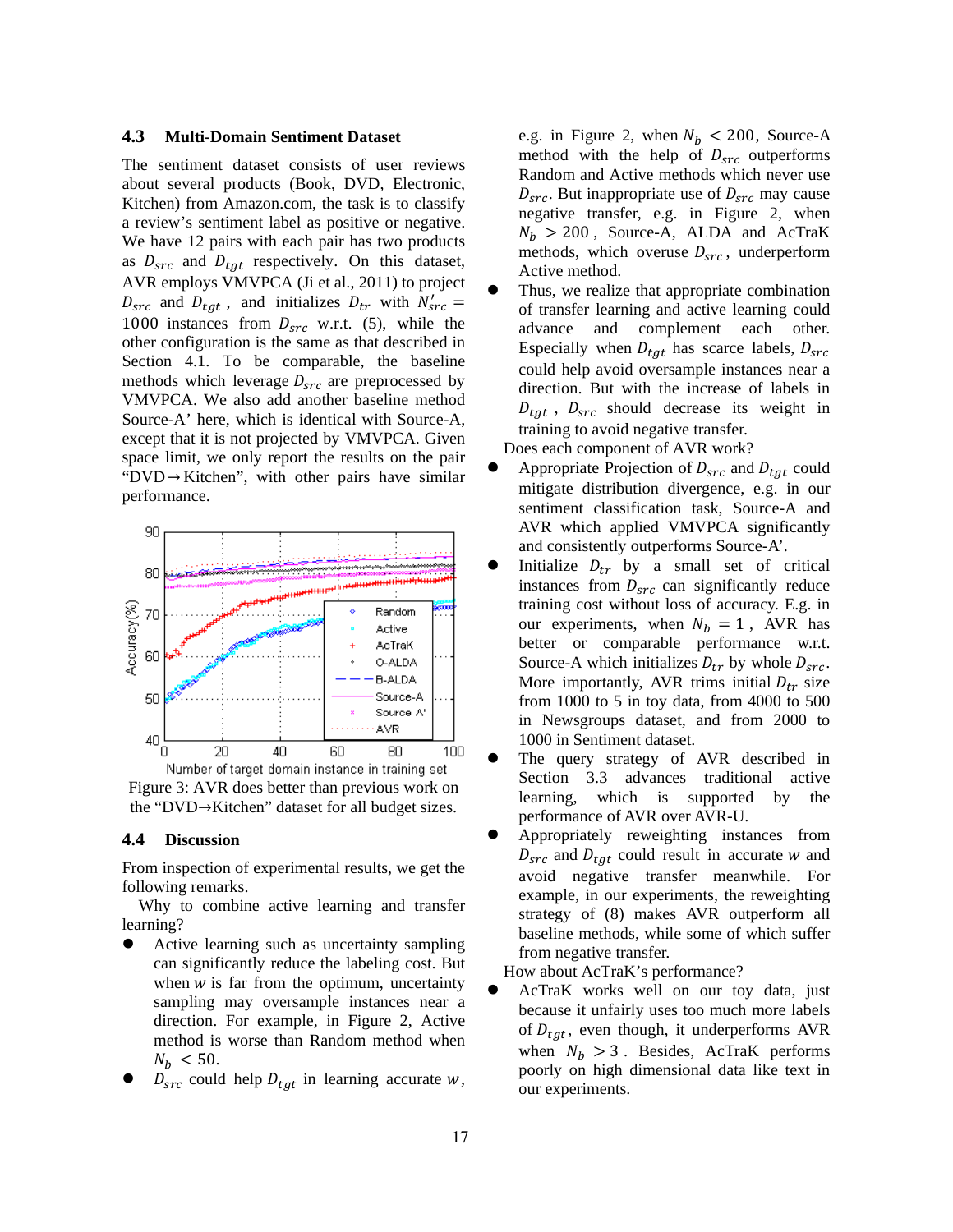#### **4.3 Multi-Domain Sentiment Dataset**

The sentiment dataset consists of user reviews about several products (Book, DVD, Electronic, Kitchen) from Amazon.com, the task is to classify a review's sentiment label as positive or negative. We have 12 pairs with each pair has two products as  $D_{src}$  and  $D_{tgt}$  respectively. On this dataset, AVR employs VMVPCA (Ji et al., 2011) to project  $D_{src}$  and  $D_{tgt}$ , and initializes  $D_{tr}$  with  $N'_{src} =$ 1000 instances from  $D_{src}$  w.r.t. (5), while the other configuration is the same as that described in Section 4.1. To be comparable, the baseline methods which leverage  $D_{src}$  are preprocessed by VMVPCA. We also add another baseline method Source-A' here, which is identical with Source-A, except that it is not projected by VMVPCA. Given space limit, we only report the results on the pair " $DVD \rightarrow Kitchen$ ", with other pairs have similar performance.



Figure 3: AVR does better than previous work on the "DVD $\rightarrow$ Kitchen" dataset for all budget sizes.

### **4.4 Discussion**

From inspection of experimental results, we get the following remarks.

Why to combine active learning and transfer learning?

- Active learning such as uncertainty sampling can significantly reduce the labeling cost. But when  $w$  is far from the optimum, uncertainty sampling may oversample instances near a direction. For example, in Figure 2, Active method is worse than Random method when  $N_b < 50$ .
- $D_{src}$  could help  $D_{tgt}$  in learning accurate w,

e.g. in Figure 2, when  $N_b < 200$ , Source-A method with the help of  $D_{src}$  outperforms Random and Active methods which never use  $D_{src}$ . But inappropriate use of  $D_{src}$  may cause negative transfer, e.g. in Figure 2, when  $N_h > 200$ , Source-A, ALDA and AcTraK methods, which overuse  $D_{src}$ , underperform Active method.

 Thus, we realize that appropriate combination of transfer learning and active learning could advance and complement each other. Especially when  $D_{tgt}$  has scarce labels,  $D_{src}$ could help avoid oversample instances near a direction. But with the increase of labels in  $D_{tat}$ ,  $D_{src}$  should decrease its weight in training to avoid negative transfer.

Does each component of AVR work?

- Appropriate Projection of  $D_{src}$  and  $D_{tgt}$  could mitigate distribution divergence, e.g. in our sentiment classification task, Source-A and AVR which applied VMVPCA significantly and consistently outperforms Source-A'.
- Initialize  $D_{tr}$  by a small set of critical instances from  $D_{src}$  can significantly reduce training cost without loss of accuracy. E.g. in our experiments, when  $N_b = 1$ , AVR has better or comparable performance w.r.t. Source-A which initializes  $D_{tr}$  by whole  $D_{src}$ . More importantly, AVR trims initial  $D_{tr}$  size from 1000 to 5 in toy data, from 4000 to 500 in Newsgroups dataset, and from 2000 to 1000 in Sentiment dataset.
- The query strategy of AVR described in Section 3.3 advances traditional active learning, which is supported by the performance of AVR over AVR-U.
- Appropriately reweighting instances from  $D_{src}$  and  $D_{tat}$  could result in accurate w and avoid negative transfer meanwhile. For example, in our experiments, the reweighting strategy of (8) makes AVR outperform all baseline methods, while some of which suffer from negative transfer.

How about AcTraK's performance?

 AcTraK works well on our toy data, just because it unfairly uses too much more labels of  $D_{tgt}$ , even though, it underperforms AVR when  $N_b > 3$ . Besides, AcTraK performs poorly on high dimensional data like text in our experiments.